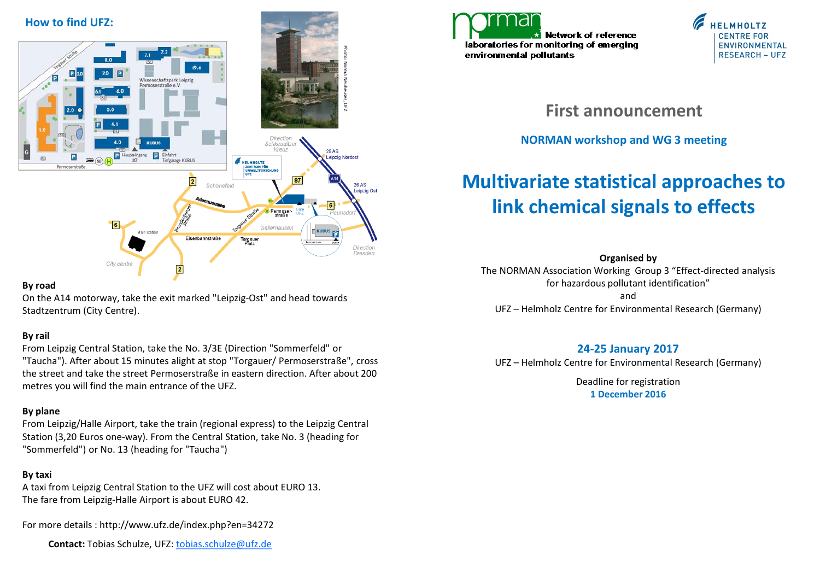

#### **By road**

On the A14 motorway, take the exit marked "Leipzig-Ost" and head towards Stadtzentrum (City Centre).

### **By rail**

From Leipzig Central Station, take the No. 3/3E (Direction "Sommerfeld" or "Taucha"). After about 15 minutes alight at stop "Torgauer/ Permoserstraße", cross the street and take the street Permoserstraße in eastern direction. After about 200 metres you will find the main entrance of the UFZ.

### **By plane**

From Leipzig/Halle Airport, take the train (regional express) to the Leipzig Central Station (3,20 Euros one-way). From the Central Station, take No. 3 (heading for "Sommerfeld") or No. 13 (heading for "Taucha")

## **By taxi**

A taxi from Leipzig Central Station to the UFZ will cost about EURO 13. The fare from Leipzig-Halle Airport is about EURO 42.

For more details : http://www.ufz.de/index.php?en=34272

 **Contact:** Tobias Schulze, UFZ: [tobias.schulze@ufz.de](mailto:tobias.schulze@ufz.de)





**First announcement**

## **NORMAN workshop and WG 3 meeting**

# **Multivariate statistical approaches to link chemical signals to effects**

**Organised by**

The NORMAN Association Working Group 3 "Effect-directed analysis for hazardous pollutant identification"

and UFZ – Helmholz Centre for Environmental Research (Germany)

## **24-25 January 2017**

UFZ – Helmholz Centre for Environmental Research (Germany)

Deadline for registration **1 December 2016**